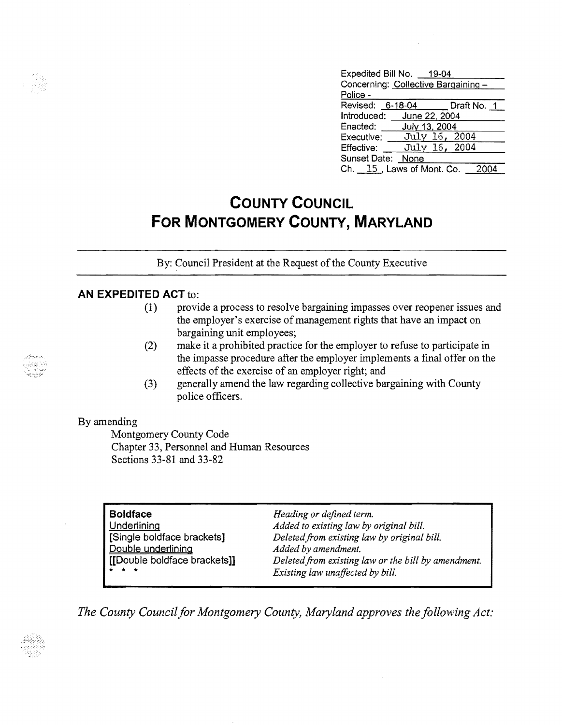| Expedited Bill No. 19-04            |               |  |             |  |  |  |
|-------------------------------------|---------------|--|-------------|--|--|--|
| Concerning: Collective Bargaining - |               |  |             |  |  |  |
| Police -                            |               |  |             |  |  |  |
| Revised: 6-18-04                    |               |  | Draft No. 1 |  |  |  |
| Introduced: June 22, 2004           |               |  |             |  |  |  |
| Enacted: July 13, 2004              |               |  |             |  |  |  |
| Executive:                          | July 16, 2004 |  |             |  |  |  |
| Effective:                          | July 16, 2004 |  |             |  |  |  |
| Sunset Date:                        | None          |  |             |  |  |  |
| Ch. 15, Laws of Mont. Co.           |               |  |             |  |  |  |

## **COUNTY COUNCIL FOR MONTGOMERY COUNTY, MARYLAND**

By: Council President at the Request of the County Executive

## **AN EXPEDITED ACT** to:

- (1) provide a process to resolve bargaining impasses over reopener issues and the employer's exercise of management rights that have an impact on bargaining unit employees;
- (2) make it a prohibited practice for the employer to refuse to participate in the impasse procedure after the employer implements a fInal offer on the effects of the exercise of an employer right; and
- (3) generally amend the law regarding collective bargaining with County police officers.

## By amending

Montgomery County Code Chapter 33, Personnel and Human Resources Sections 33-81 and 33-82

| <b>Boldface</b>              |
|------------------------------|
| Underlining                  |
| [Single boldface brackets]   |
| Double underlining           |
| [[Double boldface brackets]] |
|                              |

**Heading or defined term.** Added to existing law by original bill.  $Deleted from existing law by original bill.$ Added by amendment. Deleted from existing law or the bill by amendment. Existing law unaffected by bill.

*The County Council for Montgomery County, Maryland approves the following Act:* 



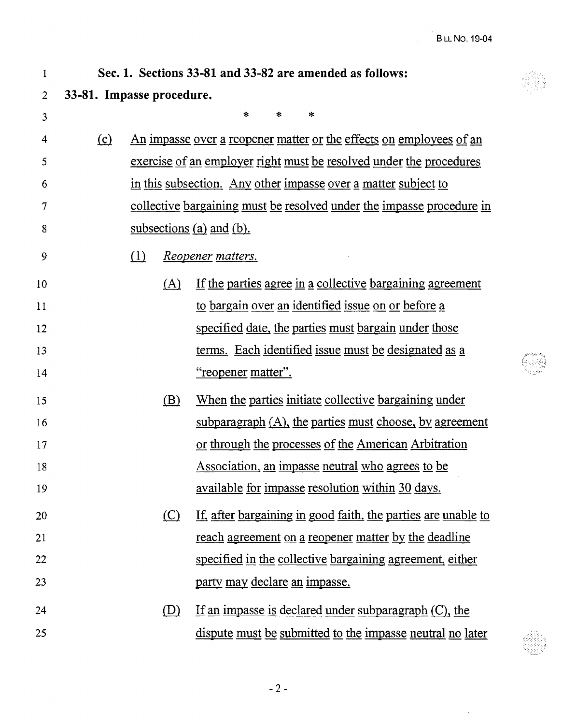$\mathcal{A}^{\pm}$ 

| 1              | Sec. 1. Sections 33-81 and 33-82 are amended as follows: |                                                                     |                                                      |                                                                            |  |  |  |
|----------------|----------------------------------------------------------|---------------------------------------------------------------------|------------------------------------------------------|----------------------------------------------------------------------------|--|--|--|
| $\overline{2}$ | 33-81. Impasse procedure.                                |                                                                     |                                                      |                                                                            |  |  |  |
| 3              |                                                          |                                                                     |                                                      | *<br>$\ast$<br>$\ast$                                                      |  |  |  |
| $\overline{4}$ | $\Omega$                                                 |                                                                     |                                                      | <u>An impasse over a reopener matter or the effects on employees of an</u> |  |  |  |
| 5              |                                                          | exercise of an employer right must be resolved under the procedures |                                                      |                                                                            |  |  |  |
| 6              |                                                          | in this subsection. Any other impasse over a matter subject to      |                                                      |                                                                            |  |  |  |
| $\overline{7}$ |                                                          |                                                                     |                                                      | collective bargaining must be resolved under the impasse procedure in      |  |  |  |
| 8              |                                                          |                                                                     |                                                      | subsections (a) and (b).                                                   |  |  |  |
| 9              |                                                          | (1)                                                                 |                                                      | Reopener matters.                                                          |  |  |  |
| 10             |                                                          |                                                                     | (A)                                                  | If the parties agree in a collective bargaining agreement                  |  |  |  |
| 11             |                                                          |                                                                     |                                                      | to bargain over an identified issue on or before a                         |  |  |  |
| 12             |                                                          |                                                                     | specified date, the parties must bargain under those |                                                                            |  |  |  |
| 13             |                                                          | terms. Each identified issue must be designated as a                |                                                      |                                                                            |  |  |  |
| 14             |                                                          |                                                                     |                                                      | <u>"reopener matter".</u>                                                  |  |  |  |
| 15             |                                                          |                                                                     | <u>(B)</u>                                           | When the parties initiate collective bargaining under                      |  |  |  |
| 16             |                                                          | subparagraph $(A)$ , the parties must choose, by agreement          |                                                      |                                                                            |  |  |  |
| 17             |                                                          | or through the processes of the American Arbitration                |                                                      |                                                                            |  |  |  |
| 18             |                                                          | <u>Association, an impasse neutral who agrees to be</u>             |                                                      |                                                                            |  |  |  |
| 19             |                                                          |                                                                     |                                                      | <u>available for impasse resolution within 30 days.</u>                    |  |  |  |
| 20             |                                                          |                                                                     | $\circ$                                              | <u>If, after bargaining in good faith, the parties are unable to</u>       |  |  |  |
| 21             |                                                          |                                                                     |                                                      | reach agreement on a reopener matter by the deadline                       |  |  |  |
| 22             |                                                          |                                                                     |                                                      | specified in the collective bargaining agreement, either                   |  |  |  |
| 23             |                                                          | <u>party may declare an impasse.</u>                                |                                                      |                                                                            |  |  |  |
| 24             |                                                          |                                                                     | (D)                                                  | If an impasse is declared under subparagraph $(C)$ , the                   |  |  |  |
| 25             |                                                          |                                                                     |                                                      | dispute must be submitted to the impasse neutral no later                  |  |  |  |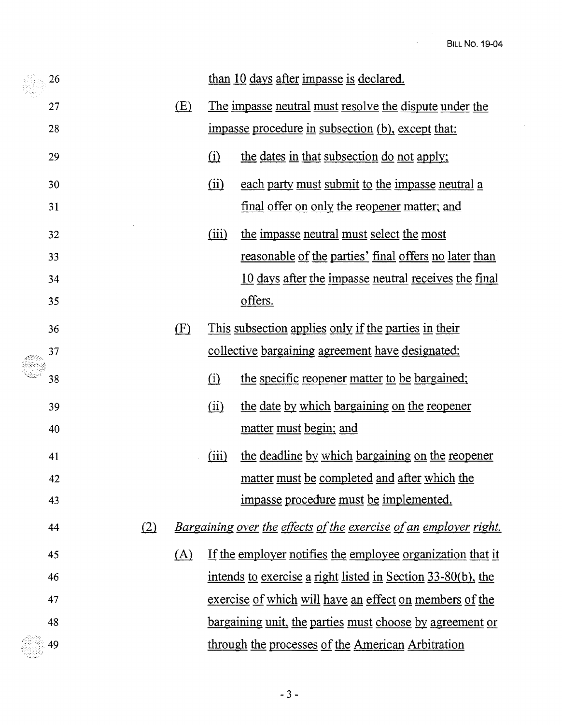BILL No. 19-04

 $\bar{\bar{z}}$ 

| 26 |     |     | than 10 days after impasse is declared.                                                                   |                                                      |  |  |  |
|----|-----|-----|-----------------------------------------------------------------------------------------------------------|------------------------------------------------------|--|--|--|
| 27 |     | (E) | <u>The impasse neutral must resolve the dispute under the</u>                                             |                                                      |  |  |  |
| 28 |     |     | impasse procedure in subsection (b), except that:                                                         |                                                      |  |  |  |
| 29 |     |     | the dates in that subsection do not apply;<br>$\Omega$                                                    |                                                      |  |  |  |
| 30 |     |     | (ii)                                                                                                      | each party must submit to the impasse neutral a      |  |  |  |
| 31 |     |     |                                                                                                           | <u>final offer on only the reopener matter; and</u>  |  |  |  |
| 32 |     |     | (iii)                                                                                                     | the impasse neutral must select the most             |  |  |  |
| 33 |     |     | <u>reasonable of the parties' final offers no later than</u>                                              |                                                      |  |  |  |
| 34 |     |     |                                                                                                           | 10 days after the impasse neutral receives the final |  |  |  |
| 35 |     |     |                                                                                                           | offers.                                              |  |  |  |
| 36 |     | (F) |                                                                                                           | This subsection applies only if the parties in their |  |  |  |
| 37 |     |     |                                                                                                           | collective bargaining agreement have designated:     |  |  |  |
| 38 |     |     | $\Omega$                                                                                                  | the specific reopener matter to be bargained;        |  |  |  |
| 39 |     |     | $\overline{\text{iii}}$                                                                                   | the date by which bargaining on the reopener         |  |  |  |
| 40 |     |     |                                                                                                           | matter must begin; and                               |  |  |  |
| 41 |     |     | the deadline by which bargaining on the reopener<br>(iii)<br>matter must be completed and after which the |                                                      |  |  |  |
| 42 |     |     |                                                                                                           |                                                      |  |  |  |
| 43 |     |     | impasse procedure must be implemented.                                                                    |                                                      |  |  |  |
| 44 | (2) |     | <u>Bargaining over the effects of the exercise of an employer right.</u>                                  |                                                      |  |  |  |
| 45 |     | (A) | If the employer notifies the employee organization that it                                                |                                                      |  |  |  |
| 46 |     |     | intends to exercise a right listed in Section 33-80(b), the                                               |                                                      |  |  |  |
| 47 |     |     | exercise of which will have an effect on members of the                                                   |                                                      |  |  |  |
| 48 |     |     | <u>bargaining unit, the parties must choose by agreement or</u>                                           |                                                      |  |  |  |
| 49 |     |     | through the processes of the American Arbitration                                                         |                                                      |  |  |  |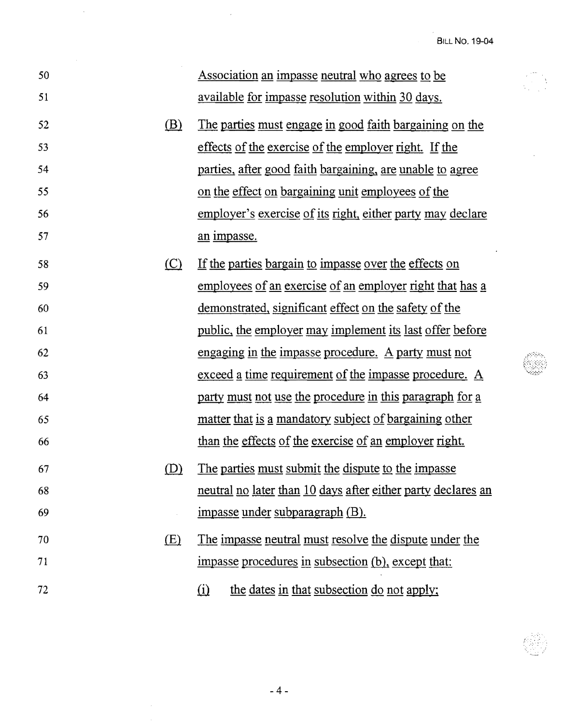Ì,

 $\bar{\lambda}$ 

| 50 |              | <u>Association an impasse neutral who agrees to be</u>          |
|----|--------------|-----------------------------------------------------------------|
| 51 |              | available for impasse resolution within 30 days.                |
| 52 | $\mathbf{B}$ | The parties must engage in good faith bargaining on the         |
| 53 |              | effects of the exercise of the employer right. If the           |
| 54 |              | parties, after good faith bargaining, are unable to agree       |
| 55 |              | on the effect on bargaining unit employees of the               |
| 56 |              | employer's exercise of its right, either party may declare      |
| 57 |              | an impasse.                                                     |
| 58 | $\circ$      | If the parties bargain to impasse over the effects on           |
| 59 |              | employees of an exercise of an employer right that has a        |
| 60 |              | demonstrated, significant effect on the safety of the           |
| 61 |              | <u>public, the employer may implement its last offer before</u> |
| 62 |              | <u>engaging in the impasse procedure. A party must not</u>      |
| 63 |              | exceed a time requirement of the impasse procedure. A           |
| 64 |              | party must not use the procedure in this paragraph for a        |
| 65 |              | <u>matter that is a mandatory subject of bargaining other</u>   |
| 66 |              | than the effects of the exercise of an employer right.          |
| 67 | <u>(D)</u>   | The parties must submit the dispute to the impasse              |
| 68 |              | neutral no later than 10 days after either party declares an    |
| 69 |              | <u>impasse under subparagraph (B).</u>                          |
| 70 | <u>(E)</u>   | The impasse neutral must resolve the dispute under the          |
| 71 |              | impasse procedures in subsection (b), except that:              |
| 72 |              | the dates in that subsection do not apply:<br>$\Omega$          |

 $\mathcal{L}_{\mathcal{A}}$ 

 $\mathcal{A}^{\mathcal{A}}$ 

 $\sim$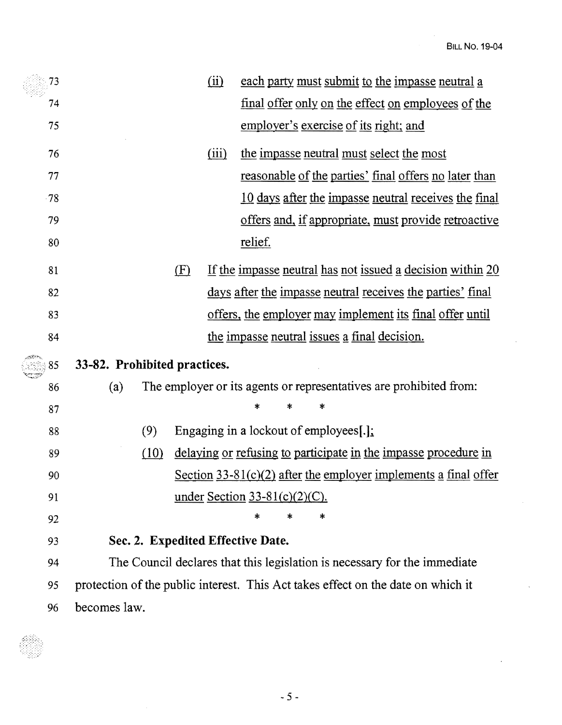| 73    |                                   |     | $\overline{(\text{ii})}$ |                                  | each party must submit to the impasse neutral a                                  |
|-------|-----------------------------------|-----|--------------------------|----------------------------------|----------------------------------------------------------------------------------|
| 74    |                                   |     |                          |                                  | <u>final offer only on the effect on employees of the</u>                        |
| 75    |                                   |     |                          |                                  | employer's exercise of its right; and                                            |
| 76    |                                   |     | (iii)                    |                                  | the impasse neutral must select the most                                         |
| 77    |                                   |     |                          |                                  | reasonable of the parties' final offers no later than                            |
| $-78$ |                                   |     |                          |                                  | 10 days after the impasse neutral receives the final                             |
| 79    |                                   |     |                          |                                  | offers and, if appropriate, must provide retroactive                             |
| 80    |                                   |     |                          | relief.                          |                                                                                  |
| 81    |                                   | (E) |                          |                                  | If the impasse neutral has not issued a decision within 20                       |
| 82    |                                   |     |                          |                                  | <u>days after the impasse neutral receives the parties' final</u>                |
| 83    |                                   |     |                          |                                  | offers, the employer may implement its final offer until                         |
| 84    |                                   |     |                          |                                  | the impasse neutral issues a final decision.                                     |
|       |                                   |     |                          |                                  |                                                                                  |
| 85    | 33-82. Prohibited practices.      |     |                          |                                  |                                                                                  |
| 86    | (a)                               |     |                          |                                  | The employer or its agents or representatives are prohibited from:               |
| 87    |                                   |     |                          |                                  | *                                                                                |
| 88    | (9)                               |     |                          |                                  | Engaging in a lockout of employees[.]:                                           |
| 89    | (10)                              |     |                          |                                  | delaying or refusing to participate in the impasse procedure in                  |
| 90    |                                   |     |                          |                                  | Section $33-81(c)(2)$ after the employer implements a final offer                |
| 91    |                                   |     |                          | under Section $33-81(c)(2)(C)$ . |                                                                                  |
| 92    |                                   |     |                          | *                                | *                                                                                |
| 93    | Sec. 2. Expedited Effective Date. |     |                          |                                  |                                                                                  |
| 94    |                                   |     |                          |                                  | The Council declares that this legislation is necessary for the immediate        |
| 95    |                                   |     |                          |                                  | protection of the public interest. This Act takes effect on the date on which it |



 $-5 -$